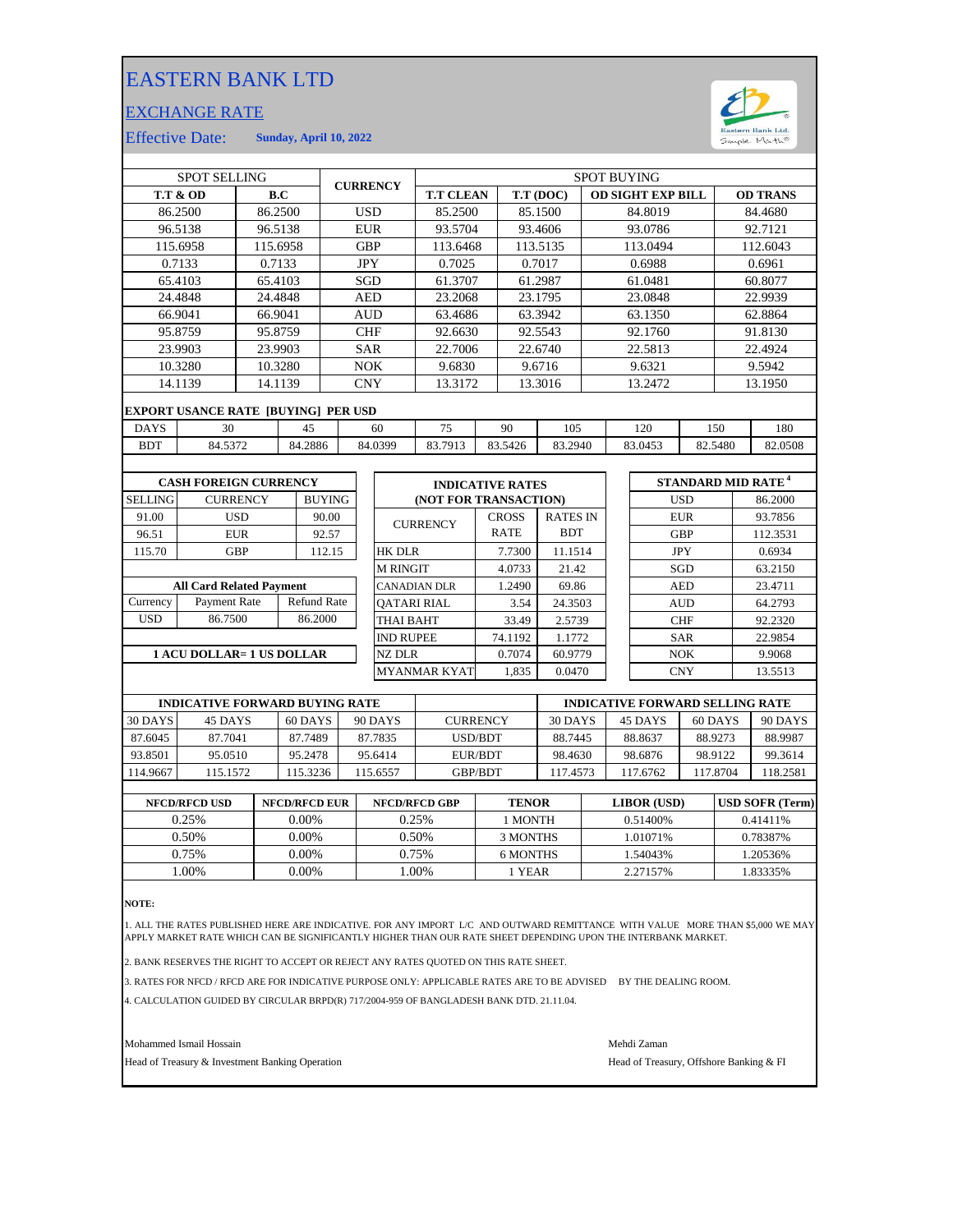## EASTERN BANK LTD

## EXCHANGE RATE



Effective Date: **Sunday, April 10, 2022**

| <b>SPOT SELLING</b>             |                                            |                                    |            | <b>CURRENCY</b> |                     | <b>SPOT BUYING</b> |                       |                         |                 |            |                          |            |            |          |                                      |
|---------------------------------|--------------------------------------------|------------------------------------|------------|-----------------|---------------------|--------------------|-----------------------|-------------------------|-----------------|------------|--------------------------|------------|------------|----------|--------------------------------------|
| <b>T.T &amp; OD</b><br>B.C      |                                            |                                    |            |                 |                     |                    | <b>T.T CLEAN</b>      | T.T (DOC)               |                 |            | <b>OD SIGHT EXP BILL</b> |            |            |          | <b>OD TRANS</b>                      |
| 86.2500<br>86.2500              |                                            |                                    | <b>USD</b> |                 |                     | 85.2500<br>85.1500 |                       |                         | 84.8019         |            |                          |            | 84.4680    |          |                                      |
| 96.5138<br>96.5138              |                                            |                                    | <b>EUR</b> |                 | 93.5704             |                    | 93.4606               |                         | 93.0786         |            |                          |            | 92.7121    |          |                                      |
|                                 | 115.6958<br>115.6958                       |                                    |            | <b>GBP</b>      |                     | 113.6468           |                       | 113.5135                |                 | 113.0494   |                          |            |            | 112.6043 |                                      |
|                                 | 0.7133<br>0.7133                           |                                    |            | <b>JPY</b>      |                     | 0.7025             |                       | 0.7017                  |                 | 0.6988     |                          |            |            | 0.6961   |                                      |
| 65.4103<br>65.4103              |                                            |                                    |            | <b>SGD</b>      |                     | 61.3707            |                       | 61.2987                 |                 | 61.0481    |                          |            | 60.8077    |          |                                      |
| 24.4848<br>24.4848              |                                            |                                    |            | <b>AED</b>      |                     | 23.2068            |                       | 23.1795                 |                 |            | 23.0848                  |            |            | 22.9939  |                                      |
| 66.9041                         |                                            | 66.9041                            |            |                 |                     | <b>AUD</b>         | 63.4686               |                         | 63.3942         |            | 63.1350                  |            |            | 62.8864  |                                      |
| 95.8759                         |                                            |                                    | 95.8759    |                 | <b>CHF</b>          |                    | 92.6630               |                         | 92.5543         |            | 92.1760                  |            |            | 91.8130  |                                      |
|                                 | 23.9903<br>23.9903                         |                                    |            |                 | <b>SAR</b>          |                    | 22.7006               |                         | 22.6740         |            | 22.5813                  |            |            | 22.4924  |                                      |
|                                 | 10.3280                                    |                                    | 10.3280    |                 | <b>NOK</b>          |                    | 9.6830                |                         | 9.6716          |            | 9.6321                   |            |            | 9.5942   |                                      |
|                                 | 14.1139                                    | 14.1139                            |            |                 |                     | <b>CNY</b>         | 13.3172               |                         | 13.3016         |            | 13.2472                  |            |            | 13.1950  |                                      |
|                                 | <b>EXPORT USANCE RATE [BUYING] PER USD</b> |                                    |            |                 |                     |                    |                       |                         |                 |            |                          |            |            |          |                                      |
| <b>DAYS</b>                     | 30<br>45                                   |                                    |            |                 | 60                  | 75                 | 90                    | 105                     |                 |            | 120                      | 150        |            | 180      |                                      |
| <b>BDT</b>                      | 84.5372                                    |                                    |            | 84.2886         |                     | 84.0399            | 83.7913               | 83.5426                 | 83.2940         |            |                          | 83.0453    | 82.5480    |          | 82.0508                              |
|                                 |                                            |                                    |            |                 |                     |                    |                       |                         |                 |            |                          |            |            |          |                                      |
|                                 | <b>CASH FOREIGN CURRENCY</b>               |                                    |            |                 |                     |                    |                       | <b>INDICATIVE RATES</b> |                 |            |                          |            |            |          | <b>STANDARD MID RATE<sup>4</sup></b> |
| <b>SELLING</b>                  |                                            | <b>CURRENCY</b>                    |            | <b>BUYING</b>   |                     |                    | (NOT FOR TRANSACTION) |                         |                 |            |                          |            | <b>USD</b> |          | 86.2000                              |
| 91.00                           |                                            | <b>USD</b>                         |            | 90.00           |                     |                    | <b>CURRENCY</b>       | <b>CROSS</b>            | <b>RATES IN</b> |            |                          |            | <b>EUR</b> |          | 93.7856                              |
| 96.51                           |                                            | <b>EUR</b>                         |            | 92.57           |                     |                    |                       | <b>RATE</b>             |                 | <b>BDT</b> |                          | <b>GBP</b> |            | 112.3531 |                                      |
| 115.70                          |                                            | <b>GBP</b>                         |            | 112.15          |                     | <b>HK DLR</b>      |                       | 7.7300                  |                 | 11.1514    |                          | <b>JPY</b> |            | 0.6934   |                                      |
|                                 |                                            |                                    |            |                 |                     | <b>M RINGIT</b>    |                       | 4.0733                  | 21.42           |            |                          |            | SGD        |          | 63.2150                              |
| <b>All Card Related Payment</b> |                                            |                                    |            |                 | <b>CANADIAN DLR</b> |                    | 1.2490                | 69.86                   |                 |            |                          | <b>AED</b> |            | 23.4711  |                                      |
| Currency                        |                                            | Payment Rate<br><b>Refund Rate</b> |            |                 |                     | <b>OATARI RIAL</b> |                       | 3.54                    | 24.3503         |            |                          |            | <b>AUD</b> |          | 64.2793                              |
| <b>USD</b>                      | 86.7500                                    |                                    | 86.2000    |                 | <b>THAI BAHT</b>    |                    | 33.49                 | 2.5739                  |                 |            |                          | <b>CHF</b> |            | 92.2320  |                                      |
|                                 |                                            |                                    |            |                 | <b>IND RUPEE</b>    |                    | 74.1192               |                         | 1.1772          |            | <b>SAR</b>               |            | 22.9854    |          |                                      |
| 1 ACU DOLLAR= 1 US DOLLAR       |                                            |                                    |            |                 |                     | <b>NZ DLR</b>      |                       | 0.7074                  | 60.9779         |            | NOK                      |            | 9.9068     |          |                                      |
|                                 |                                            |                                    |            |                 |                     |                    | <b>MYANMAR KYAT</b>   | 1,835                   | 0.0470          |            |                          |            | <b>CNY</b> |          | 13.5513                              |
|                                 |                                            |                                    |            |                 |                     |                    |                       |                         |                 |            |                          |            |            |          |                                      |

|          | <b>INDICATIVE FORWARD BUYING RATE</b> |          |          |                 | <b>INDICATIVE FORWARD SELLING RATE</b> |          |          |          |  |
|----------|---------------------------------------|----------|----------|-----------------|----------------------------------------|----------|----------|----------|--|
| 30 DAYS  | 45 DAYS                               | 60 DAYS  | 90 DAYS  | <b>CURRENCY</b> | 30 DAYS                                | 45 DAYS  | 60 DAYS  | 90 DAYS  |  |
| 87.6045  | 87.7041                               | 87.7489  | 87.7835  | USD/BDT         | 88.7445                                | 88.8637  | 88.9273  | 88.9987  |  |
| 93.8501  | 95.0510                               | 95.2478  | 95.6414  | EUR/BDT         | 98.4630                                | 98.6876  | 98.9122  | 99.3614  |  |
| 114.9667 | 115.1572                              | 115.3236 | 115.6557 | <b>GBP/BDT</b>  | 117.4573                               | 117.6762 | 117.8704 | 118.2581 |  |
|          |                                       |          |          |                 |                                        |          |          |          |  |

| <b>NFCD/RFCD USD</b> | <b>NFCD/RFCD EUR</b> | <b>NFCD/RFCD GBP</b> | <b>TENOR</b> | <b>LIBOR</b> (USD) | <b>USD SOFR (Term)</b> |
|----------------------|----------------------|----------------------|--------------|--------------------|------------------------|
| 0.25%                | $0.00\%$             | 0.25%                | 1 MONTH      | 0.51400\%          | 0.41411\%              |
| 0.50%                | $0.00\%$             | 0.50%                | 3 MONTHS     | 1.01071%           | 0.78387%               |
| 0.75%                | 0.00%                | 0.75%                | 6 MONTHS     | 1.54043%           | 1.20536%               |
| .00%                 | 0.00%                | .00%                 | l YEAR       | 2.27157%           | 1.83335%               |
|                      |                      |                      |              |                    |                        |

**NOTE:**

1. ALL THE RATES PUBLISHED HERE ARE INDICATIVE. FOR ANY IMPORT L/C AND OUTWARD REMITTANCE WITH VALUE MORE THAN \$5,000 WE MAY APPLY MARKET RATE WHICH CAN BE SIGNIFICANTLY HIGHER THAN OUR RATE SHEET DEPENDING UPON THE INTERBANK MARKET.

2. BANK RESERVES THE RIGHT TO ACCEPT OR REJECT ANY RATES QUOTED ON THIS RATE SHEET.

3. RATES FOR NFCD / RFCD ARE FOR INDICATIVE PURPOSE ONLY: APPLICABLE RATES ARE TO BE ADVISED BY THE DEALING ROOM.

4. CALCULATION GUIDED BY CIRCULAR BRPD(R) 717/2004-959 OF BANGLADESH BANK DTD. 21.11.04.

Mohammed Ismail Hossain Mehdi Zaman

Head of Treasury & Investment Banking Operation **Head of Treasury, Offshore Banking & FI**